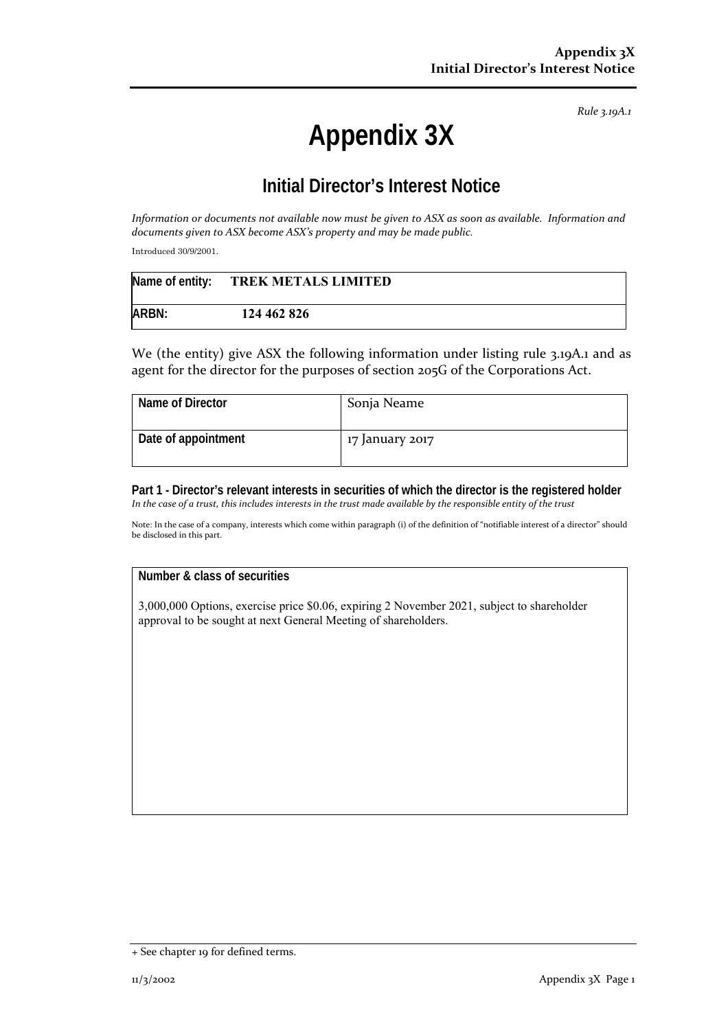*Rule 3.19A.1*

# **Appendix 3X**

## **Initial Director's Interest Notice**

Information or documents not available now must be given to ASX as soon as available. Information and *documents given to ASX become ASX's property and may be made public.*

Introduced 30/9/2001.

|       | Name of entity: TREK METALS LIMITED |  |
|-------|-------------------------------------|--|
| ARBN: | 124 462 826                         |  |

We (the entity) give ASX the following information under listing rule 3.19A.1 and as agent for the director for the purposes of section 205G of the Corporations Act.

| Name of Director    | Sonja Neame     |
|---------------------|-----------------|
| Date of appointment | 17 January 2017 |

**Part 1 - Director's relevant interests in securities of which the director is the registered holder**  In the case of a trust, this includes interests in the trust made available by the responsible entity of the trust

Note: In the case of a company, interests which come within paragraph (i) of the definition of "notifiable interest of a director" should be disclosed in this part.

### **Number & class of securities**

3,000,000 Options, exercise price \$0.06, expiring 2 November 2021, subject to shareholder approval to be sought at next General Meeting of shareholders.

<sup>+</sup> See chapter 19 for defined terms.